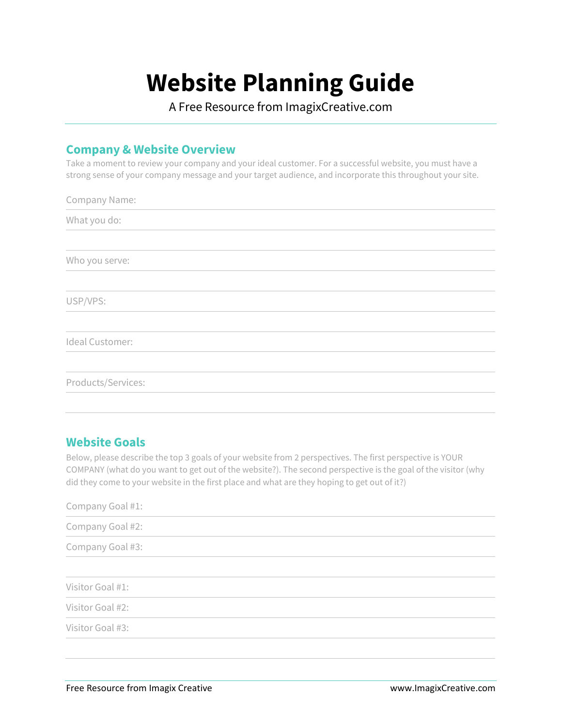# **Website Planning Guide**

A Free Resource from ImagixCreative.com

## **Company & Website Overview**

Take a moment to review your company and your ideal customer. For a successful website, you must have a strong sense of your company message and your target audience, and incorporate this throughout your site.

| Company Name:      |
|--------------------|
| What you do:       |
|                    |
| Who you serve:     |
|                    |
| USP/VPS:           |
|                    |
| Ideal Customer:    |
|                    |
| Products/Services: |
|                    |

## **Website Goals**

Below, please describe the top 3 goals of your website from 2 perspectives. The first perspective is YOUR COMPANY (what do you want to get out of the website?). The second perspective is the goal of the visitor (why did they come to your website in the first place and what are they hoping to get out of it?)

| Company Goal #1: |  |  |  |
|------------------|--|--|--|
| Company Goal #2: |  |  |  |
| Company Goal #3: |  |  |  |
|                  |  |  |  |
| Visitor Goal #1: |  |  |  |
| Visitor Goal #2: |  |  |  |
| Visitor Goal #3: |  |  |  |
|                  |  |  |  |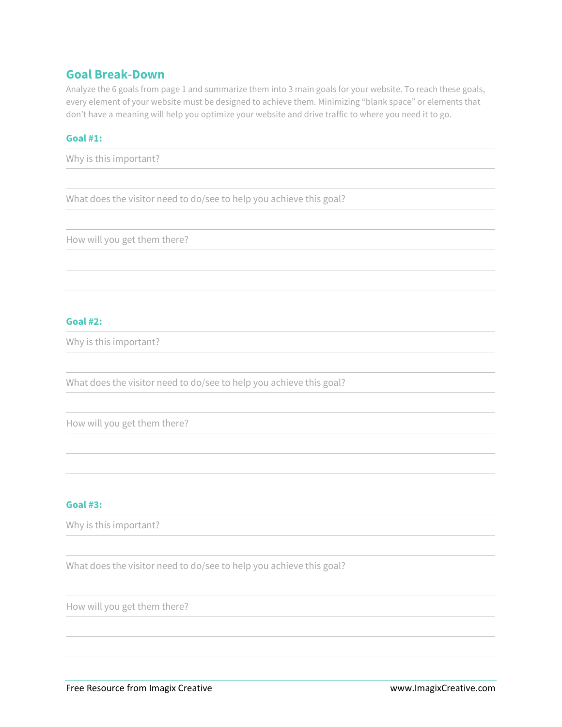### **Goal Break-Down**

Analyze the 6 goals from page 1 and summarize them into 3 main goals for your website. To reach these goals, every element of your website must be designed to achieve them. Minimizing "blank space" or elements that don't have a meaning will help you optimize your website and drive traffic to where you need it to go.

#### **Goal #1:**

Why is this important?

What does the visitor need to do/see to help you achieve this goal?

How will you get them there?

#### **Goal #2:**

Why is this important?

What does the visitor need to do/see to help you achieve this goal?

How will you get them there?

#### **Goal #3:**

Why is this important?

What does the visitor need to do/see to help you achieve this goal?

How will you get them there?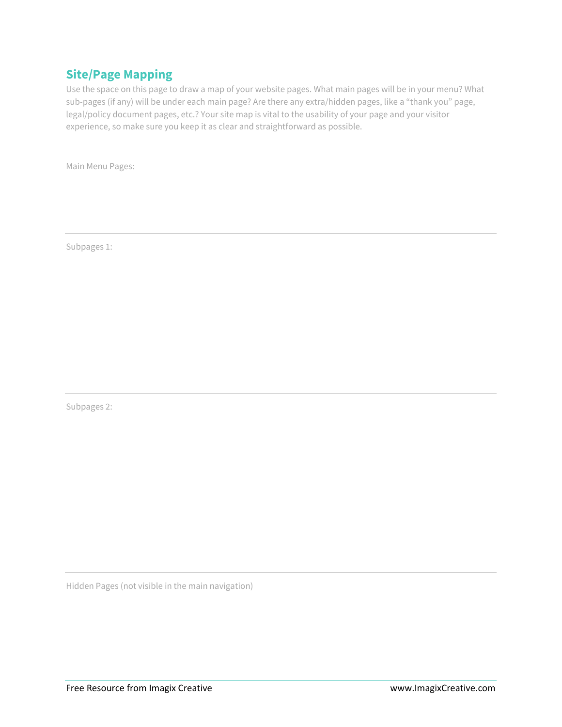## **Site/Page Mapping**

Use the space on this page to draw a map of your website pages. What main pages will be in your menu? What sub-pages (if any) will be under each main page? Are there any extra/hidden pages, like a "thank you" page, legal/policy document pages, etc.? Your site map is vital to the usability of your page and your visitor experience, so make sure you keep it as clear and straightforward as possible.

Main Menu Pages:

Subpages 1:

Subpages 2:

Hidden Pages (not visible in the main navigation)